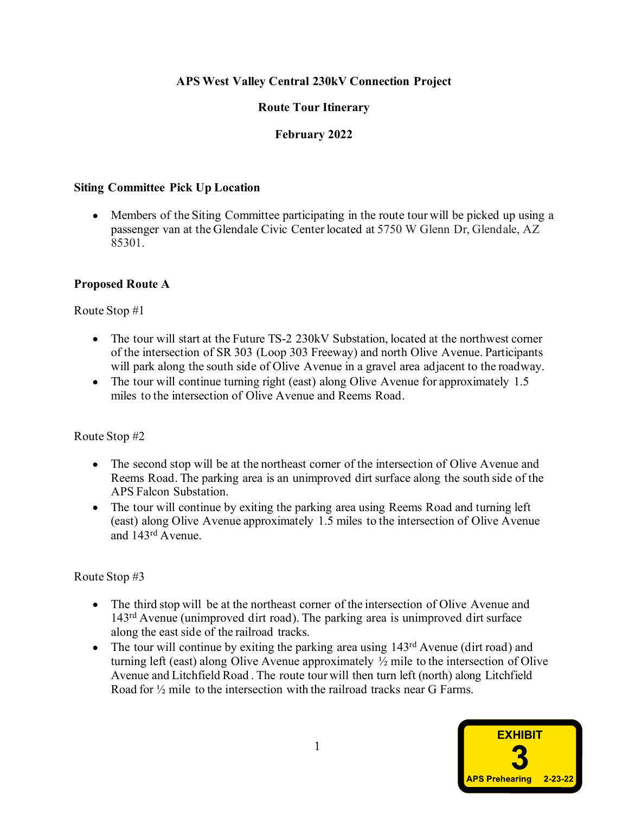### APS West Valley Central 230kV Connection Project

## Route Tour Itinerary

## February 2022

#### Siting Committee Pick Up Location

Members of the Siting Committee participating in the route tour will be picked up using a passenger van at the Glendale Civic Center located at 5750 W Glenn Dr, Glendale, AZ 85301.

### Proposed Route A

Route Stop #1

- The tour will start at the Future TS-2 230kV Substation, located at the northwest corner of the intersection of SR 303 (Loop 303 Freeway) and north Olive Avenue. Participants will park along the south side of Olive Avenue in a gravel area adjacent to the roadway.
- The tour will continue turning right (east) along Olive Avenue for approximately 1.5 miles to the intersection of Olive Avenue and Reems Road.

#### Route Stop #2

- The second stop will be at the northeast corner of the intersection of Olive Avenue and Reems Road. The parking area is an unimproved dirt surface along the south side of the APS Falcon Substation.
- The tour will continue by exiting the parking area using Reems Road and turning left (east) along Olive Avenue approximately 1.5 miles to the intersection of Olive Avenue and 143rd Avenue.

### Route Stop #3

- The third stop will be at the northeast corner of the intersection of Olive Avenue and 143rd Avenue (unimproved dirt road). The parking area is unimproved dirt surface
- Will park along the south side of Olive Avenue in a gravel area adjacent to<br>The tour will continue turning right (cast) along Olive Avenue for approxime<br>lists to the intersection of Olive Avenue and Reems Road.<br>The sccond • The tour will continue by exiting the parking area using  $143<sup>rd</sup>$  Avenue (dirt road) and turning left (east) along Olive Avenue approximately ½ mile to the intersection of Olive Stop #2<br>The second stop will be at the northeast corner of the intersection of Olive Avenue and<br>Resums Road. The parking area is an unimproved dirt surface along the south side of the<br>APS Falcon Substation.<br>The tour will Road for  $\frac{1}{2}$  mile to the intersection with the railroad tracks near G Farms.

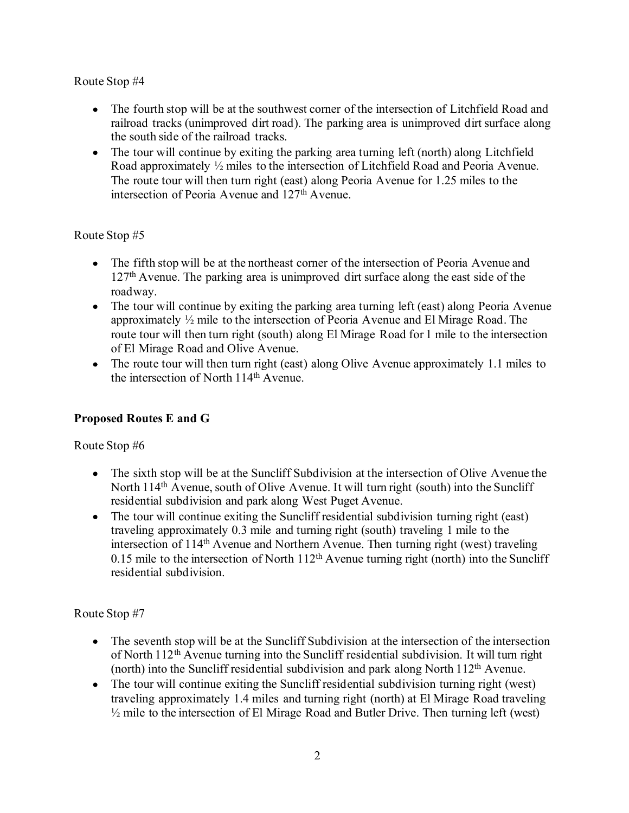Route Stop #4

- The fourth stop will be at the southwest corner of the intersection of Litchfield Road and railroad tracks (unimproved dirt road). The parking area is unimproved dirt surface along the south side of the railroad tracks.
- The tour will continue by exiting the parking area turning left (north) along Litchfield Road approximately ½ miles to the intersection of Litchfield Road and Peoria Avenue. The route tour will then turn right (east) along Peoria Avenue for 1.25 miles to the intersection of Peoria Avenue and 127th Avenue.

Route Stop #5

- The fifth stop will be at the northeast corner of the intersection of Peoria Avenue and 127th Avenue. The parking area is unimproved dirt surface along the east side of the roadway.
- The tour will continue by exiting the parking area turning left (east) along Peoria Avenue approximately ½ mile to the intersection of Peoria Avenue and El Mirage Road. The route tour will then turn right (south) along El Mirage Road for 1 mile to the intersection of El Mirage Road and Olive Avenue.
- The route tour will then turn right (east) along Olive Avenue approximately 1.1 miles to the intersection of North 114th Avenue.

# Proposed Routes E and G

Route Stop #6

- The sixth stop will be at the Suncliff Subdivision at the intersection of Olive Avenue the North 114<sup>th</sup> Avenue, south of Olive Avenue. It will turn right (south) into the Suncliff residential subdivision and park along West Puget Avenue.
- The tour will continue exiting the Suncliff residential subdivision turning right (east) traveling approximately 0.3 mile and turning right (south) traveling 1 mile to the intersection of 114<sup>th</sup> Avenue and Northern Avenue. Then turning right (west) traveling 0.15 mile to the intersection of North  $112<sup>th</sup>$  Avenue turning right (north) into the Suncliff residential subdivision. Nop  $\pi$ o<br>
The sixth stop will be at the Suncliff Subdivision at the intersection of Olive Avenue for the 114<sup>th</sup> Avenue, south of Olive Avenue. It will turn right (south) into the Suncliff residential subdivision and par

# Route Stop #7

- The seventh stop will be at the Suncliff Subdivision at the intersection of the intersection of North 112th Avenue turning into the Suncliff residential subdivision. It will turn right (north) into the Suncliff residential subdivision and park along North 112th Avenue.
- The tour will continue exiting the Suncliff residential subdivision turning right (west) traveling approximately 1.4 miles and turning right (north) at El Mirage Road traveling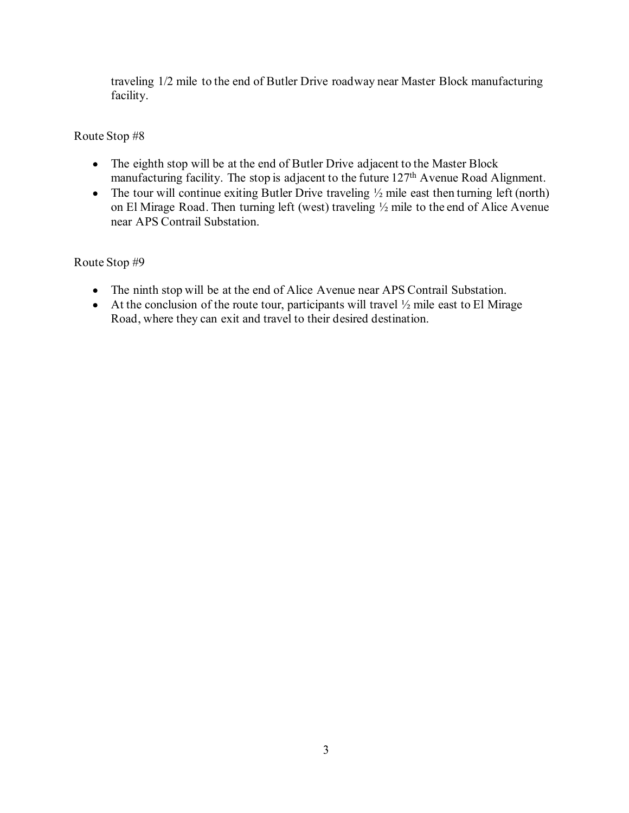traveling 1/2 mile to the end of Butler Drive roadway near Master Block manufacturing facility.

Route Stop #8

- The eighth stop will be at the end of Butler Drive adjacent to the Master Block manufacturing facility. The stop is adjacent to the future 127<sup>th</sup> Avenue Road Alignment.
- The tour will continue exiting Butler Drive traveling  $\frac{1}{2}$  mile east then turning left (north) on El Mirage Road. Then turning left (west) traveling ½ mile to the end of Alice Avenue near APS Contrail Substation.

## Route Stop #9

- The ninth stop will be at the end of Alice Avenue near APS Contrail Substation.
- At the conclusion of the route tour, participants will travel  $\frac{1}{2}$  mile east to El Mirage Road, where they can exit and travel to their desired destination.